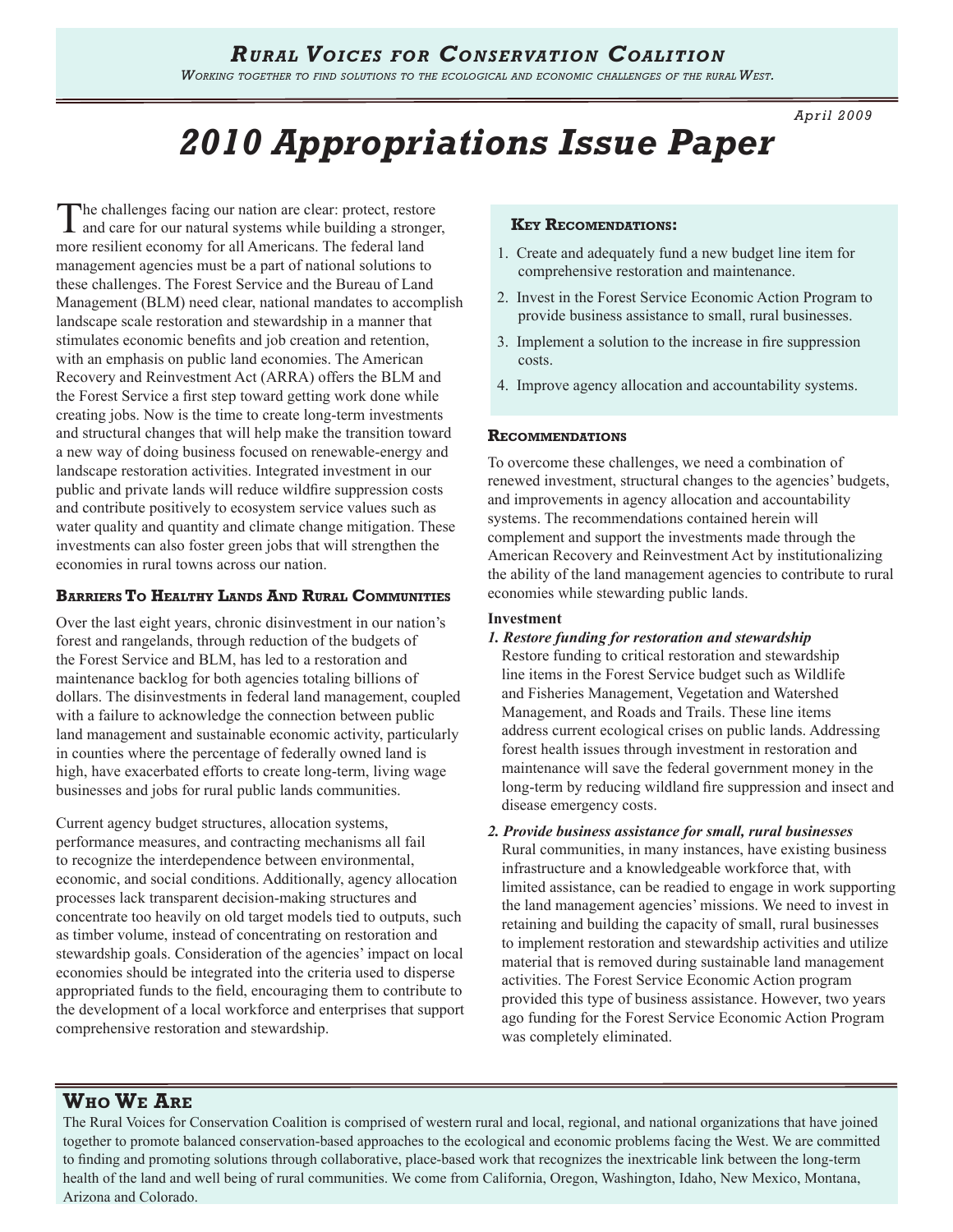*Working together to find solutions to the ecological and economic challenges of the rural West.* 

*April 2009*

# *2010 Appropriations Issue Paper*

The challenges facing our nation are clear: protect, restore and care for our natural systems while building a stronger, more resilient economy for all Americans. The federal land management agencies must be a part of national solutions to these challenges. The Forest Service and the Bureau of Land Management (BLM) need clear, national mandates to accomplish landscape scale restoration and stewardship in a manner that stimulates economic benefits and job creation and retention, with an emphasis on public land economies. The American Recovery and Reinvestment Act (ARRA) offers the BLM and the Forest Service a first step toward getting work done while creating jobs. Now is the time to create long-term investments and structural changes that will help make the transition toward a new way of doing business focused on renewable-energy and landscape restoration activities. Integrated investment in our public and private lands will reduce wildfire suppression costs and contribute positively to ecosystem service values such as water quality and quantity and climate change mitigation. These investments can also foster green jobs that will strengthen the economies in rural towns across our nation.

#### **Barriers To Healthy Lands And Rural Communities**

Over the last eight years, chronic disinvestment in our nation's forest and rangelands, through reduction of the budgets of the Forest Service and BLM, has led to a restoration and maintenance backlog for both agencies totaling billions of dollars. The disinvestments in federal land management, coupled with a failure to acknowledge the connection between public land management and sustainable economic activity, particularly in counties where the percentage of federally owned land is high, have exacerbated efforts to create long-term, living wage businesses and jobs for rural public lands communities.

Current agency budget structures, allocation systems, performance measures, and contracting mechanisms all fail to recognize the interdependence between environmental, economic, and social conditions. Additionally, agency allocation processes lack transparent decision-making structures and concentrate too heavily on old target models tied to outputs, such as timber volume, instead of concentrating on restoration and stewardship goals. Consideration of the agencies' impact on local economies should be integrated into the criteria used to disperse appropriated funds to the field, encouraging them to contribute to the development of a local workforce and enterprises that support comprehensive restoration and stewardship.

#### **Key Recomendations:**

- 1. Create and adequately fund a new budget line item for comprehensive restoration and maintenance.
- 2. Invest in the Forest Service Economic Action Program to provide business assistance to small, rural businesses.
- 3. Implement a solution to the increase in fire suppression costs.
- 4. Improve agency allocation and accountability systems.

#### **Recommendations**

To overcome these challenges, we need a combination of renewed investment, structural changes to the agencies' budgets, and improvements in agency allocation and accountability systems. The recommendations contained herein will complement and support the investments made through the American Recovery and Reinvestment Act by institutionalizing the ability of the land management agencies to contribute to rural economies while stewarding public lands.

#### **Investment**

#### *1. Restore funding for restoration and stewardship*

Restore funding to critical restoration and stewardship line items in the Forest Service budget such as Wildlife and Fisheries Management, Vegetation and Watershed Management, and Roads and Trails. These line items address current ecological crises on public lands. Addressing forest health issues through investment in restoration and maintenance will save the federal government money in the long-term by reducing wildland fire suppression and insect and disease emergency costs.

*2. Provide business assistance for small, rural businesses* Rural communities, in many instances, have existing business infrastructure and a knowledgeable workforce that, with limited assistance, can be readied to engage in work supporting the land management agencies' missions. We need to invest in retaining and building the capacity of small, rural businesses to implement restoration and stewardship activities and utilize material that is removed during sustainable land management activities. The Forest Service Economic Action program provided this type of business assistance. However, two years ago funding for the Forest Service Economic Action Program was completely eliminated.

# **Who We Are**

The Rural Voices for Conservation Coalition is comprised of western rural and local, regional, and national organizations that have joined together to promote balanced conservation-based approaches to the ecological and economic problems facing the West. We are committed to finding and promoting solutions through collaborative, place-based work that recognizes the inextricable link between the long-term health of the land and well being of rural communities. We come from California, Oregon, Washington, Idaho, New Mexico, Montana, Arizona and Colorado.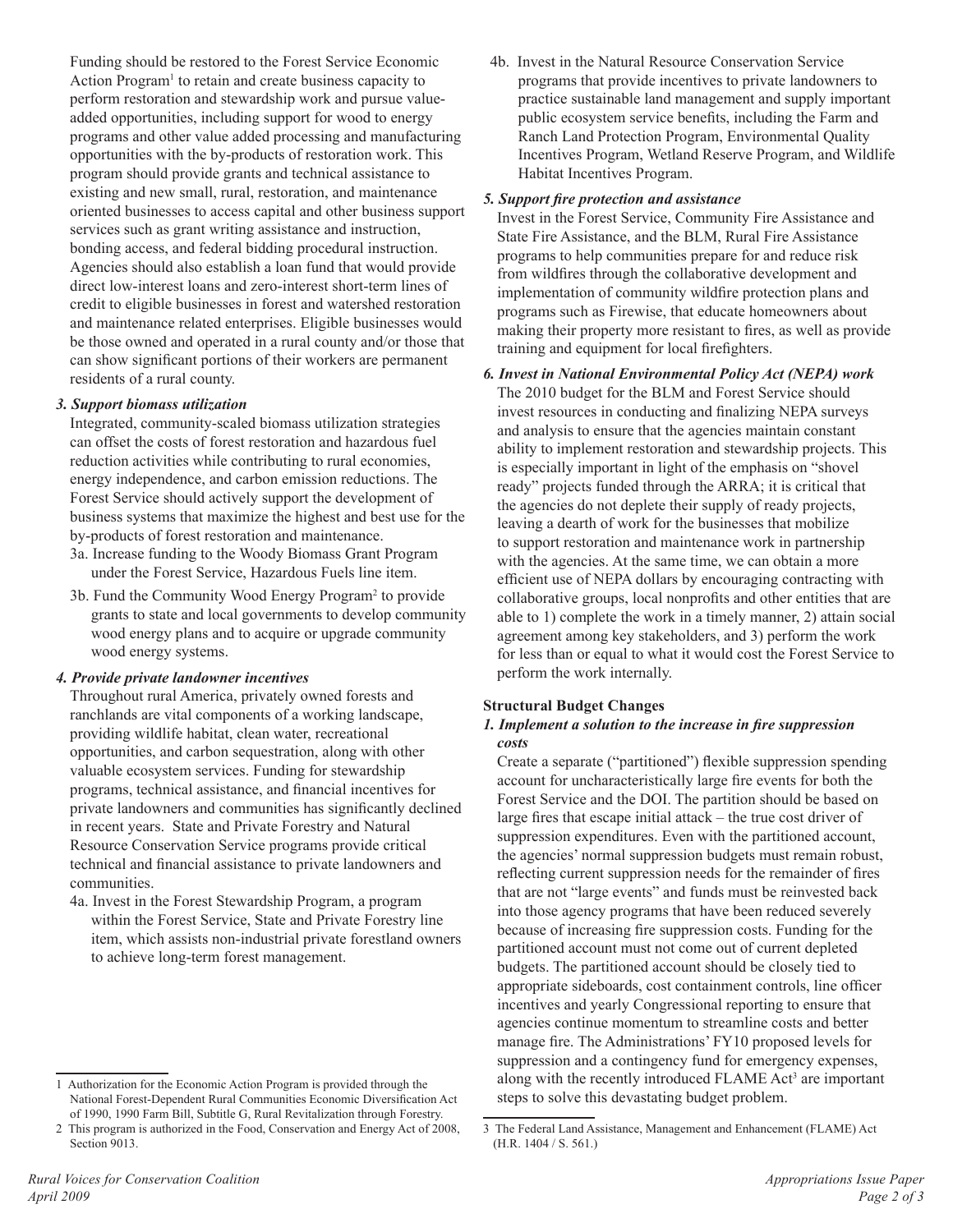Funding should be restored to the Forest Service Economic Action Program<sup>1</sup> to retain and create business capacity to perform restoration and stewardship work and pursue valueadded opportunities, including support for wood to energy programs and other value added processing and manufacturing opportunities with the by-products of restoration work. This program should provide grants and technical assistance to existing and new small, rural, restoration, and maintenance oriented businesses to access capital and other business support services such as grant writing assistance and instruction, bonding access, and federal bidding procedural instruction. Agencies should also establish a loan fund that would provide direct low-interest loans and zero-interest short-term lines of credit to eligible businesses in forest and watershed restoration and maintenance related enterprises. Eligible businesses would be those owned and operated in a rural county and/or those that can show significant portions of their workers are permanent residents of a rural county.

#### *3. Support biomass utilization*

Integrated, community-scaled biomass utilization strategies can offset the costs of forest restoration and hazardous fuel reduction activities while contributing to rural economies, energy independence, and carbon emission reductions. The Forest Service should actively support the development of business systems that maximize the highest and best use for the by-products of forest restoration and maintenance.

- 3a. Increase funding to the Woody Biomass Grant Program under the Forest Service, Hazardous Fuels line item.
- 3b. Fund the Community Wood Energy Program2 to provide grants to state and local governments to develop community wood energy plans and to acquire or upgrade community wood energy systems.

#### *4. Provide private landowner incentives*

Throughout rural America, privately owned forests and ranchlands are vital components of a working landscape, providing wildlife habitat, clean water, recreational opportunities, and carbon sequestration, along with other valuable ecosystem services. Funding for stewardship programs, technical assistance, and financial incentives for private landowners and communities has significantly declined in recent years. State and Private Forestry and Natural Resource Conservation Service programs provide critical technical and financial assistance to private landowners and communities.

4a. Invest in the Forest Stewardship Program, a program within the Forest Service, State and Private Forestry line item, which assists non-industrial private forestland owners to achieve long-term forest management.

4b. Invest in the Natural Resource Conservation Service programs that provide incentives to private landowners to practice sustainable land management and supply important public ecosystem service benefits, including the Farm and Ranch Land Protection Program, Environmental Quality Incentives Program, Wetland Reserve Program, and Wildlife Habitat Incentives Program.

#### *5. Support fire protection and assistance*

Invest in the Forest Service, Community Fire Assistance and State Fire Assistance, and the BLM, Rural Fire Assistance programs to help communities prepare for and reduce risk from wildfires through the collaborative development and implementation of community wildfire protection plans and programs such as Firewise, that educate homeowners about making their property more resistant to fires, as well as provide training and equipment for local firefighters.

*6. Invest in National Environmental Policy Act (NEPA) work* The 2010 budget for the BLM and Forest Service should invest resources in conducting and finalizing NEPA surveys and analysis to ensure that the agencies maintain constant ability to implement restoration and stewardship projects. This is especially important in light of the emphasis on "shovel ready" projects funded through the ARRA; it is critical that the agencies do not deplete their supply of ready projects, leaving a dearth of work for the businesses that mobilize to support restoration and maintenance work in partnership with the agencies. At the same time, we can obtain a more efficient use of NEPA dollars by encouraging contracting with collaborative groups, local nonprofits and other entities that are able to 1) complete the work in a timely manner, 2) attain social agreement among key stakeholders, and 3) perform the work for less than or equal to what it would cost the Forest Service to perform the work internally.

#### **Structural Budget Changes**

#### *1. Implement a solution to the increase in fire suppression costs*

Create a separate ("partitioned") flexible suppression spending account for uncharacteristically large fire events for both the Forest Service and the DOI. The partition should be based on large fires that escape initial attack – the true cost driver of suppression expenditures. Even with the partitioned account, the agencies' normal suppression budgets must remain robust, reflecting current suppression needs for the remainder of fires that are not "large events" and funds must be reinvested back into those agency programs that have been reduced severely because of increasing fire suppression costs. Funding for the partitioned account must not come out of current depleted budgets. The partitioned account should be closely tied to appropriate sideboards, cost containment controls, line officer incentives and yearly Congressional reporting to ensure that agencies continue momentum to streamline costs and better manage fire. The Administrations' FY10 proposed levels for suppression and a contingency fund for emergency expenses, along with the recently introduced FLAME Act<sup>3</sup> are important steps to solve this devastating budget problem.

<sup>1</sup> Authorization for the Economic Action Program is provided through the National Forest-Dependent Rural Communities Economic Diversification Act of 1990, 1990 Farm Bill, Subtitle G, Rural Revitalization through Forestry.

<sup>2</sup> This program is authorized in the Food, Conservation and Energy Act of 2008, Section 9013.

<sup>3</sup> The Federal Land Assistance, Management and Enhancement (FLAME) Act (H.R. 1404 / S. 561.)